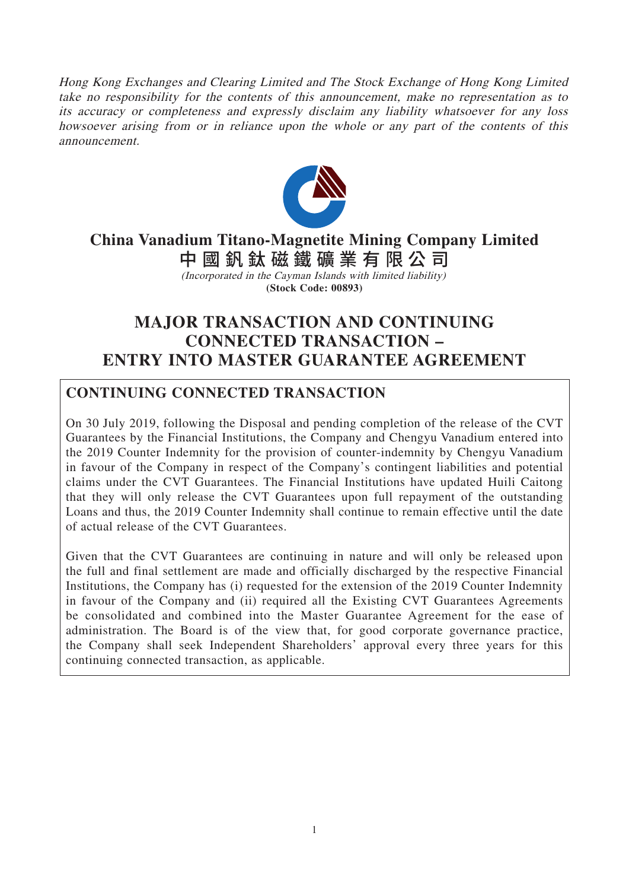Hong Kong Exchanges and Clearing Limited and The Stock Exchange of Hong Kong Limited take no responsibility for the contents of this announcement, make no representation as to its accuracy or completeness and expressly disclaim any liability whatsoever for any loss howsoever arising from or in reliance upon the whole or any part of the contents of this announcement.



# **China Vanadium Titano-Magnetite Mining Company Limited** 中國釩鈦磁鐵礦業有限公 司

(Incorporated in the Cayman Islands with limited liability) **(Stock Code: 00893)**

# **MAJOR TRANSACTION AND CONTINUING CONNECTED TRANSACTION – ENTRY INTO MASTER GUARANTEE AGREEMENT**

## **CONTINUING CONNECTED TRANSACTION**

On 30 July 2019, following the Disposal and pending completion of the release of the CVT Guarantees by the Financial Institutions, the Company and Chengyu Vanadium entered into the 2019 Counter Indemnity for the provision of counter-indemnity by Chengyu Vanadium in favour of the Company in respect of the Company's contingent liabilities and potential claims under the CVT Guarantees. The Financial Institutions have updated Huili Caitong that they will only release the CVT Guarantees upon full repayment of the outstanding Loans and thus, the 2019 Counter Indemnity shall continue to remain effective until the date of actual release of the CVT Guarantees.

Given that the CVT Guarantees are continuing in nature and will only be released upon the full and final settlement are made and officially discharged by the respective Financial Institutions, the Company has (i) requested for the extension of the 2019 Counter Indemnity in favour of the Company and (ii) required all the Existing CVT Guarantees Agreements be consolidated and combined into the Master Guarantee Agreement for the ease of administration. The Board is of the view that, for good corporate governance practice, the Company shall seek Independent Shareholders' approval every three years for this continuing connected transaction, as applicable.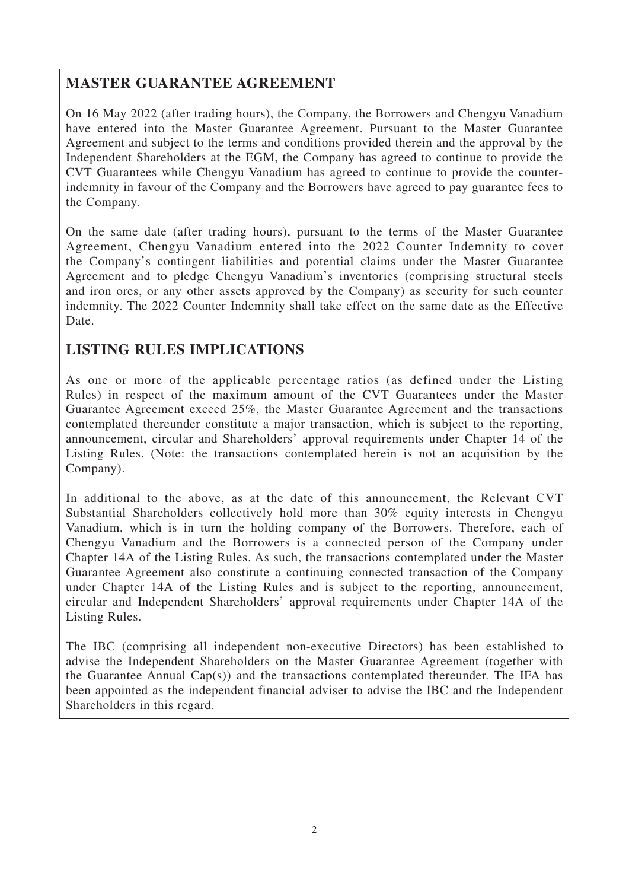## **MASTER GUARANTEE AGREEMENT**

On 16 May 2022 (after trading hours), the Company, the Borrowers and Chengyu Vanadium have entered into the Master Guarantee Agreement. Pursuant to the Master Guarantee Agreement and subject to the terms and conditions provided therein and the approval by the Independent Shareholders at the EGM, the Company has agreed to continue to provide the CVT Guarantees while Chengyu Vanadium has agreed to continue to provide the counterindemnity in favour of the Company and the Borrowers have agreed to pay guarantee fees to the Company.

On the same date (after trading hours), pursuant to the terms of the Master Guarantee Agreement, Chengyu Vanadium entered into the 2022 Counter Indemnity to cover the Company's contingent liabilities and potential claims under the Master Guarantee Agreement and to pledge Chengyu Vanadium's inventories (comprising structural steels and iron ores, or any other assets approved by the Company) as security for such counter indemnity. The 2022 Counter Indemnity shall take effect on the same date as the Effective Date.

# **LISTING RULES IMPLICATIONS**

As one or more of the applicable percentage ratios (as defined under the Listing Rules) in respect of the maximum amount of the CVT Guarantees under the Master Guarantee Agreement exceed 25%, the Master Guarantee Agreement and the transactions contemplated thereunder constitute a major transaction, which is subject to the reporting, announcement, circular and Shareholders' approval requirements under Chapter 14 of the Listing Rules. (Note: the transactions contemplated herein is not an acquisition by the Company).

In additional to the above, as at the date of this announcement, the Relevant CVT Substantial Shareholders collectively hold more than 30% equity interests in Chengyu Vanadium, which is in turn the holding company of the Borrowers. Therefore, each of Chengyu Vanadium and the Borrowers is a connected person of the Company under Chapter 14A of the Listing Rules. As such, the transactions contemplated under the Master Guarantee Agreement also constitute a continuing connected transaction of the Company under Chapter 14A of the Listing Rules and is subject to the reporting, announcement, circular and Independent Shareholders' approval requirements under Chapter 14A of the Listing Rules.

The IBC (comprising all independent non-executive Directors) has been established to advise the Independent Shareholders on the Master Guarantee Agreement (together with the Guarantee Annual Cap(s)) and the transactions contemplated thereunder. The IFA has been appointed as the independent financial adviser to advise the IBC and the Independent Shareholders in this regard.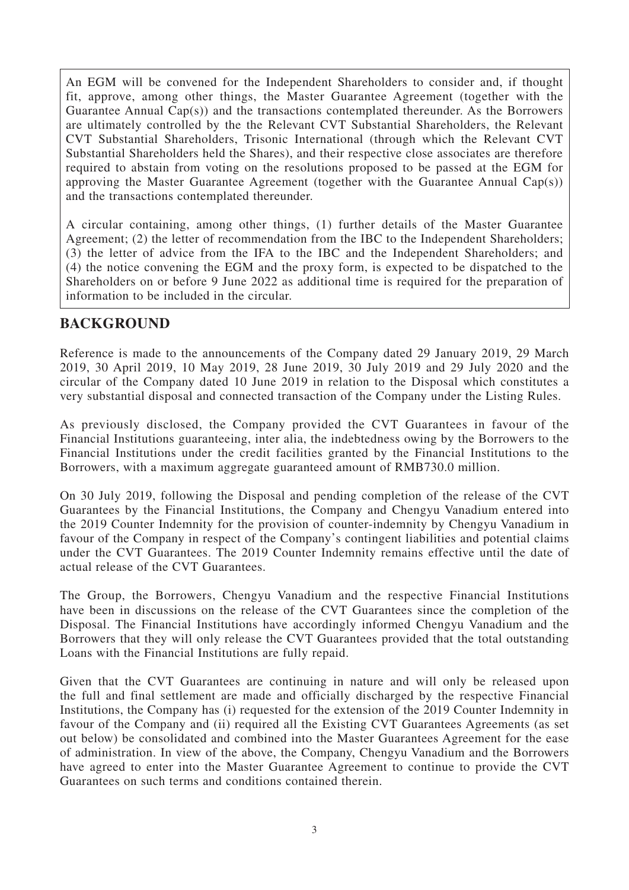An EGM will be convened for the Independent Shareholders to consider and, if thought fit, approve, among other things, the Master Guarantee Agreement (together with the Guarantee Annual Cap(s)) and the transactions contemplated thereunder. As the Borrowers are ultimately controlled by the the Relevant CVT Substantial Shareholders, the Relevant CVT Substantial Shareholders, Trisonic International (through which the Relevant CVT Substantial Shareholders held the Shares), and their respective close associates are therefore required to abstain from voting on the resolutions proposed to be passed at the EGM for approving the Master Guarantee Agreement (together with the Guarantee Annual Cap(s)) and the transactions contemplated thereunder.

A circular containing, among other things, (1) further details of the Master Guarantee Agreement; (2) the letter of recommendation from the IBC to the Independent Shareholders; (3) the letter of advice from the IFA to the IBC and the Independent Shareholders; and (4) the notice convening the EGM and the proxy form, is expected to be dispatched to the Shareholders on or before 9 June 2022 as additional time is required for the preparation of information to be included in the circular.

### **BACKGROUND**

Reference is made to the announcements of the Company dated 29 January 2019, 29 March 2019, 30 April 2019, 10 May 2019, 28 June 2019, 30 July 2019 and 29 July 2020 and the circular of the Company dated 10 June 2019 in relation to the Disposal which constitutes a very substantial disposal and connected transaction of the Company under the Listing Rules.

As previously disclosed, the Company provided the CVT Guarantees in favour of the Financial Institutions guaranteeing, inter alia, the indebtedness owing by the Borrowers to the Financial Institutions under the credit facilities granted by the Financial Institutions to the Borrowers, with a maximum aggregate guaranteed amount of RMB730.0 million.

On 30 July 2019, following the Disposal and pending completion of the release of the CVT Guarantees by the Financial Institutions, the Company and Chengyu Vanadium entered into the 2019 Counter Indemnity for the provision of counter-indemnity by Chengyu Vanadium in favour of the Company in respect of the Company's contingent liabilities and potential claims under the CVT Guarantees. The 2019 Counter Indemnity remains effective until the date of actual release of the CVT Guarantees.

The Group, the Borrowers, Chengyu Vanadium and the respective Financial Institutions have been in discussions on the release of the CVT Guarantees since the completion of the Disposal. The Financial Institutions have accordingly informed Chengyu Vanadium and the Borrowers that they will only release the CVT Guarantees provided that the total outstanding Loans with the Financial Institutions are fully repaid.

Given that the CVT Guarantees are continuing in nature and will only be released upon the full and final settlement are made and officially discharged by the respective Financial Institutions, the Company has (i) requested for the extension of the 2019 Counter Indemnity in favour of the Company and (ii) required all the Existing CVT Guarantees Agreements (as set out below) be consolidated and combined into the Master Guarantees Agreement for the ease of administration. In view of the above, the Company, Chengyu Vanadium and the Borrowers have agreed to enter into the Master Guarantee Agreement to continue to provide the CVT Guarantees on such terms and conditions contained therein.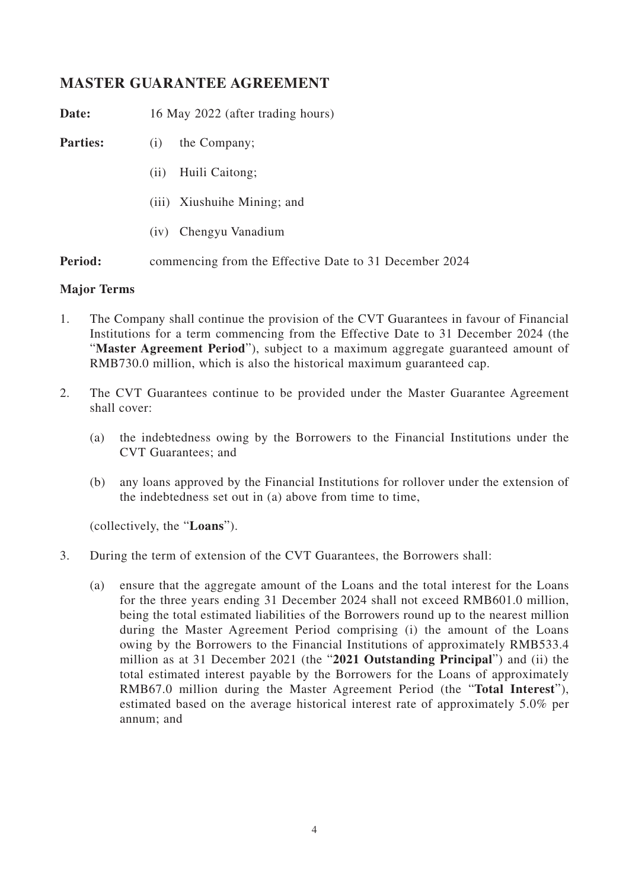### **MASTER GUARANTEE AGREEMENT**

Date: 16 May 2022 (after trading hours)

**Parties:** (i) the Company;

- (ii) Huili Caitong;
- (iii) Xiushuihe Mining; and
- (iv) Chengyu Vanadium

**Period:** commencing from the Effective Date to 31 December 2024

#### **Major Terms**

- 1. The Company shall continue the provision of the CVT Guarantees in favour of Financial Institutions for a term commencing from the Effective Date to 31 December 2024 (the "**Master Agreement Period**"), subject to a maximum aggregate guaranteed amount of RMB730.0 million, which is also the historical maximum guaranteed cap.
- 2. The CVT Guarantees continue to be provided under the Master Guarantee Agreement shall cover:
	- (a) the indebtedness owing by the Borrowers to the Financial Institutions under the CVT Guarantees; and
	- (b) any loans approved by the Financial Institutions for rollover under the extension of the indebtedness set out in (a) above from time to time,

(collectively, the "**Loans**").

- 3. During the term of extension of the CVT Guarantees, the Borrowers shall:
	- (a) ensure that the aggregate amount of the Loans and the total interest for the Loans for the three years ending 31 December 2024 shall not exceed RMB601.0 million, being the total estimated liabilities of the Borrowers round up to the nearest million during the Master Agreement Period comprising (i) the amount of the Loans owing by the Borrowers to the Financial Institutions of approximately RMB533.4 million as at 31 December 2021 (the "**2021 Outstanding Principal**") and (ii) the total estimated interest payable by the Borrowers for the Loans of approximately RMB67.0 million during the Master Agreement Period (the "**Total Interest**"), estimated based on the average historical interest rate of approximately 5.0% per annum; and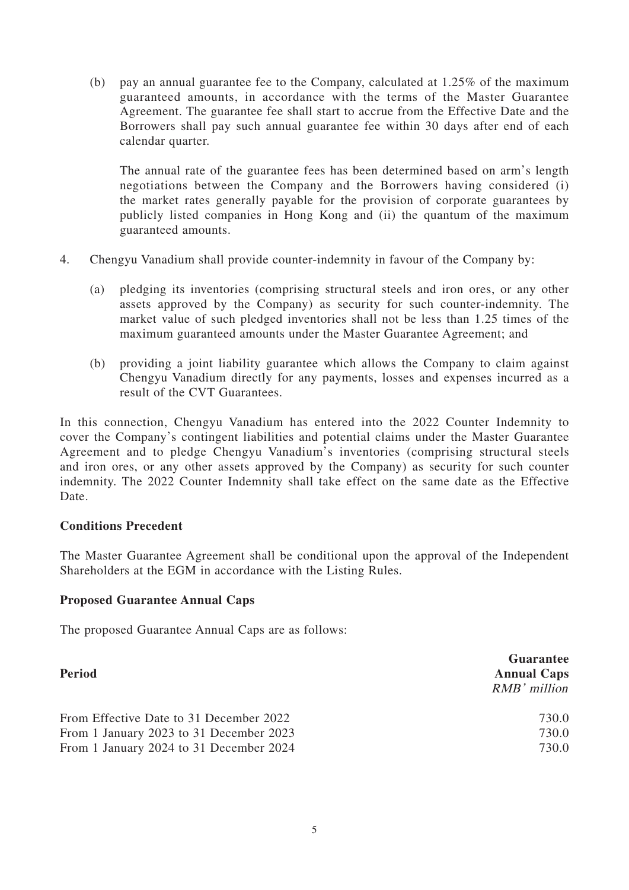(b) pay an annual guarantee fee to the Company, calculated at 1.25% of the maximum guaranteed amounts, in accordance with the terms of the Master Guarantee Agreement. The guarantee fee shall start to accrue from the Effective Date and the Borrowers shall pay such annual guarantee fee within 30 days after end of each calendar quarter.

The annual rate of the guarantee fees has been determined based on arm's length negotiations between the Company and the Borrowers having considered (i) the market rates generally payable for the provision of corporate guarantees by publicly listed companies in Hong Kong and (ii) the quantum of the maximum guaranteed amounts.

- 4. Chengyu Vanadium shall provide counter-indemnity in favour of the Company by:
	- (a) pledging its inventories (comprising structural steels and iron ores, or any other assets approved by the Company) as security for such counter-indemnity. The market value of such pledged inventories shall not be less than 1.25 times of the maximum guaranteed amounts under the Master Guarantee Agreement; and
	- (b) providing a joint liability guarantee which allows the Company to claim against Chengyu Vanadium directly for any payments, losses and expenses incurred as a result of the CVT Guarantees.

In this connection, Chengyu Vanadium has entered into the 2022 Counter Indemnity to cover the Company's contingent liabilities and potential claims under the Master Guarantee Agreement and to pledge Chengyu Vanadium's inventories (comprising structural steels and iron ores, or any other assets approved by the Company) as security for such counter indemnity. The 2022 Counter Indemnity shall take effect on the same date as the Effective Date.

#### **Conditions Precedent**

The Master Guarantee Agreement shall be conditional upon the approval of the Independent Shareholders at the EGM in accordance with the Listing Rules.

#### **Proposed Guarantee Annual Caps**

The proposed Guarantee Annual Caps are as follows:

| Period                                  | Guarantee<br><b>Annual Caps</b><br>$RMB'$ million |
|-----------------------------------------|---------------------------------------------------|
| From Effective Date to 31 December 2022 | 730.0                                             |
| From 1 January 2023 to 31 December 2023 | 730.0                                             |
| From 1 January 2024 to 31 December 2024 | 730.0                                             |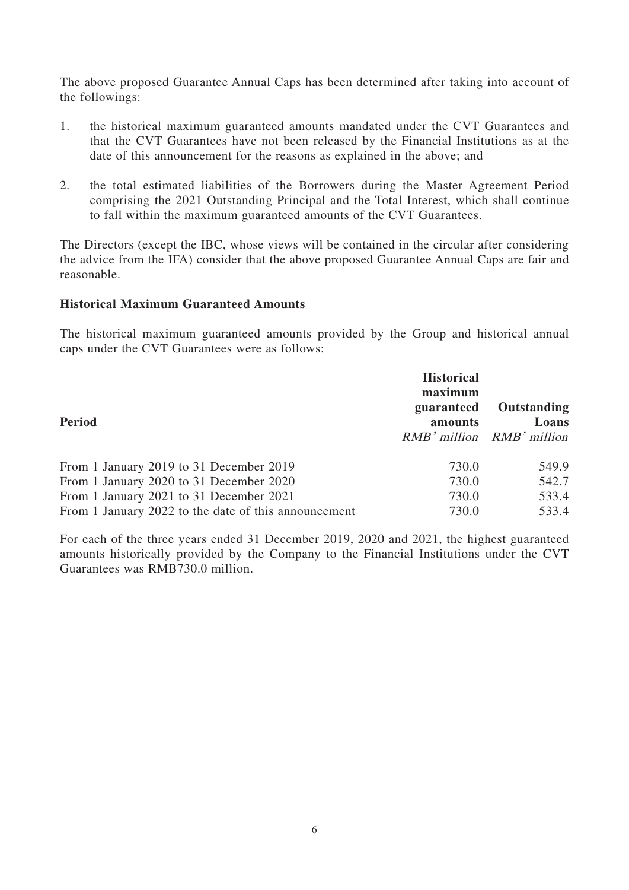The above proposed Guarantee Annual Caps has been determined after taking into account of the followings:

- 1. the historical maximum guaranteed amounts mandated under the CVT Guarantees and that the CVT Guarantees have not been released by the Financial Institutions as at the date of this announcement for the reasons as explained in the above; and
- 2. the total estimated liabilities of the Borrowers during the Master Agreement Period comprising the 2021 Outstanding Principal and the Total Interest, which shall continue to fall within the maximum guaranteed amounts of the CVT Guarantees.

The Directors (except the IBC, whose views will be contained in the circular after considering the advice from the IFA) consider that the above proposed Guarantee Annual Caps are fair and reasonable.

#### **Historical Maximum Guaranteed Amounts**

The historical maximum guaranteed amounts provided by the Group and historical annual caps under the CVT Guarantees were as follows:

| <b>Period</b>                                        | <b>Historical</b><br>maximum<br>guaranteed<br>amounts | Outstanding<br>Loans<br>RMB' million RMB' million |
|------------------------------------------------------|-------------------------------------------------------|---------------------------------------------------|
| From 1 January 2019 to 31 December 2019              | 730.0                                                 | 549.9                                             |
| From 1 January 2020 to 31 December 2020              | 730.0                                                 | 542.7                                             |
| From 1 January 2021 to 31 December 2021              | 730.0                                                 | 533.4                                             |
| From 1 January 2022 to the date of this announcement | 730.0                                                 | 533.4                                             |

For each of the three years ended 31 December 2019, 2020 and 2021, the highest guaranteed amounts historically provided by the Company to the Financial Institutions under the CVT Guarantees was RMB730.0 million.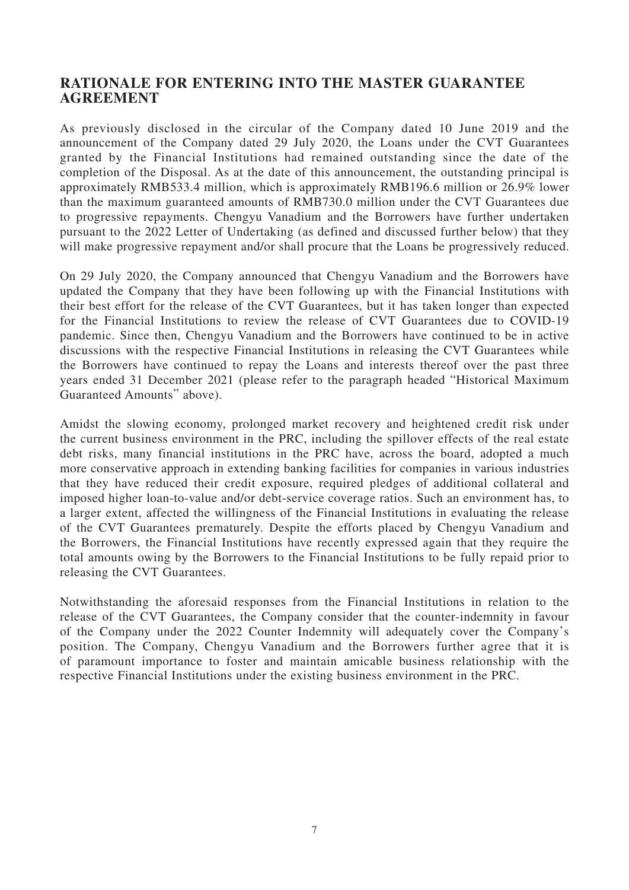#### **RATIONALE FOR ENTERING INTO THE MASTER GUARANTEE AGREEMENT**

As previously disclosed in the circular of the Company dated 10 June 2019 and the announcement of the Company dated 29 July 2020, the Loans under the CVT Guarantees granted by the Financial Institutions had remained outstanding since the date of the completion of the Disposal. As at the date of this announcement, the outstanding principal is approximately RMB533.4 million, which is approximately RMB196.6 million or 26.9% lower than the maximum guaranteed amounts of RMB730.0 million under the CVT Guarantees due to progressive repayments. Chengyu Vanadium and the Borrowers have further undertaken pursuant to the 2022 Letter of Undertaking (as defined and discussed further below) that they will make progressive repayment and/or shall procure that the Loans be progressively reduced.

On 29 July 2020, the Company announced that Chengyu Vanadium and the Borrowers have updated the Company that they have been following up with the Financial Institutions with their best effort for the release of the CVT Guarantees, but it has taken longer than expected for the Financial Institutions to review the release of CVT Guarantees due to COVID-19 pandemic. Since then, Chengyu Vanadium and the Borrowers have continued to be in active discussions with the respective Financial Institutions in releasing the CVT Guarantees while the Borrowers have continued to repay the Loans and interests thereof over the past three years ended 31 December 2021 (please refer to the paragraph headed "Historical Maximum Guaranteed Amounts" above).

Amidst the slowing economy, prolonged market recovery and heightened credit risk under the current business environment in the PRC, including the spillover effects of the real estate debt risks, many financial institutions in the PRC have, across the board, adopted a much more conservative approach in extending banking facilities for companies in various industries that they have reduced their credit exposure, required pledges of additional collateral and imposed higher loan-to-value and/or debt-service coverage ratios. Such an environment has, to a larger extent, affected the willingness of the Financial Institutions in evaluating the release of the CVT Guarantees prematurely. Despite the efforts placed by Chengyu Vanadium and the Borrowers, the Financial Institutions have recently expressed again that they require the total amounts owing by the Borrowers to the Financial Institutions to be fully repaid prior to releasing the CVT Guarantees.

Notwithstanding the aforesaid responses from the Financial Institutions in relation to the release of the CVT Guarantees, the Company consider that the counter-indemnity in favour of the Company under the 2022 Counter Indemnity will adequately cover the Company's position. The Company, Chengyu Vanadium and the Borrowers further agree that it is of paramount importance to foster and maintain amicable business relationship with the respective Financial Institutions under the existing business environment in the PRC.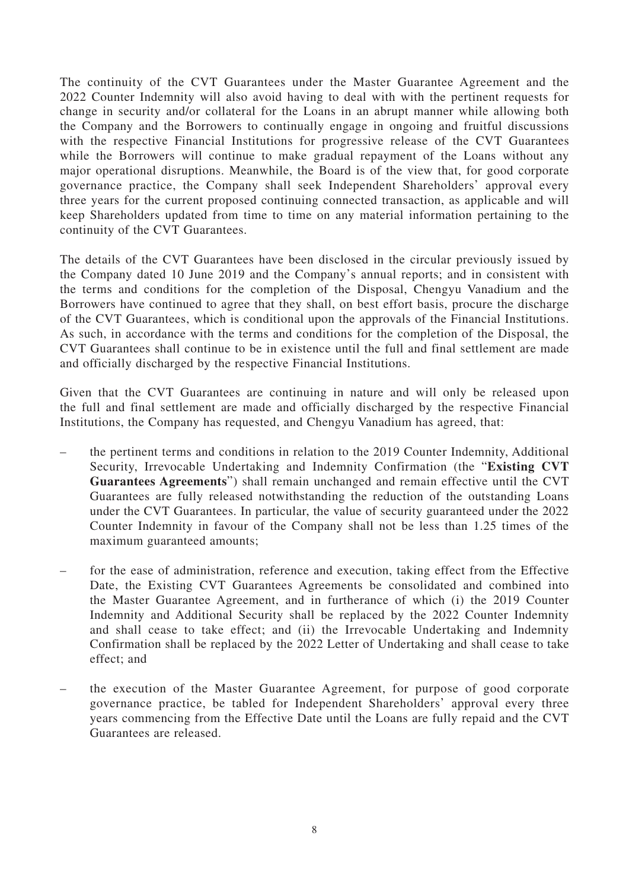The continuity of the CVT Guarantees under the Master Guarantee Agreement and the 2022 Counter Indemnity will also avoid having to deal with with the pertinent requests for change in security and/or collateral for the Loans in an abrupt manner while allowing both the Company and the Borrowers to continually engage in ongoing and fruitful discussions with the respective Financial Institutions for progressive release of the CVT Guarantees while the Borrowers will continue to make gradual repayment of the Loans without any major operational disruptions. Meanwhile, the Board is of the view that, for good corporate governance practice, the Company shall seek Independent Shareholders' approval every three years for the current proposed continuing connected transaction, as applicable and will keep Shareholders updated from time to time on any material information pertaining to the continuity of the CVT Guarantees.

The details of the CVT Guarantees have been disclosed in the circular previously issued by the Company dated 10 June 2019 and the Company's annual reports; and in consistent with the terms and conditions for the completion of the Disposal, Chengyu Vanadium and the Borrowers have continued to agree that they shall, on best effort basis, procure the discharge of the CVT Guarantees, which is conditional upon the approvals of the Financial Institutions. As such, in accordance with the terms and conditions for the completion of the Disposal, the CVT Guarantees shall continue to be in existence until the full and final settlement are made and officially discharged by the respective Financial Institutions.

Given that the CVT Guarantees are continuing in nature and will only be released upon the full and final settlement are made and officially discharged by the respective Financial Institutions, the Company has requested, and Chengyu Vanadium has agreed, that:

- the pertinent terms and conditions in relation to the 2019 Counter Indemnity, Additional Security, Irrevocable Undertaking and Indemnity Confirmation (the "**Existing CVT Guarantees Agreements**") shall remain unchanged and remain effective until the CVT Guarantees are fully released notwithstanding the reduction of the outstanding Loans under the CVT Guarantees. In particular, the value of security guaranteed under the 2022 Counter Indemnity in favour of the Company shall not be less than 1.25 times of the maximum guaranteed amounts;
- for the ease of administration, reference and execution, taking effect from the Effective Date, the Existing CVT Guarantees Agreements be consolidated and combined into the Master Guarantee Agreement, and in furtherance of which (i) the 2019 Counter Indemnity and Additional Security shall be replaced by the 2022 Counter Indemnity and shall cease to take effect; and (ii) the Irrevocable Undertaking and Indemnity Confirmation shall be replaced by the 2022 Letter of Undertaking and shall cease to take effect; and
- the execution of the Master Guarantee Agreement, for purpose of good corporate governance practice, be tabled for Independent Shareholders' approval every three years commencing from the Effective Date until the Loans are fully repaid and the CVT Guarantees are released.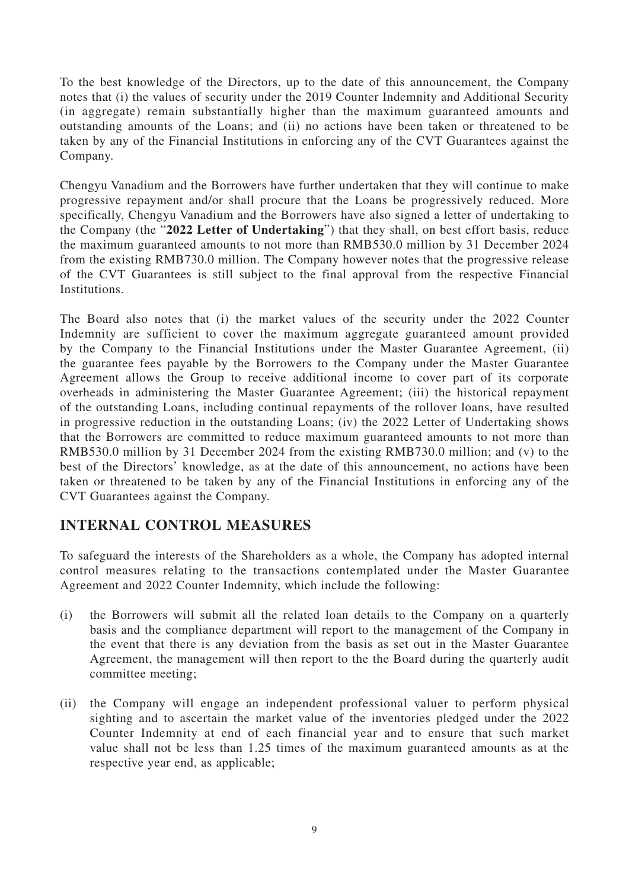To the best knowledge of the Directors, up to the date of this announcement, the Company notes that (i) the values of security under the 2019 Counter Indemnity and Additional Security (in aggregate) remain substantially higher than the maximum guaranteed amounts and outstanding amounts of the Loans; and (ii) no actions have been taken or threatened to be taken by any of the Financial Institutions in enforcing any of the CVT Guarantees against the Company.

Chengyu Vanadium and the Borrowers have further undertaken that they will continue to make progressive repayment and/or shall procure that the Loans be progressively reduced. More specifically, Chengyu Vanadium and the Borrowers have also signed a letter of undertaking to the Company (the "**2022 Letter of Undertaking**") that they shall, on best effort basis, reduce the maximum guaranteed amounts to not more than RMB530.0 million by 31 December 2024 from the existing RMB730.0 million. The Company however notes that the progressive release of the CVT Guarantees is still subject to the final approval from the respective Financial Institutions.

The Board also notes that (i) the market values of the security under the 2022 Counter Indemnity are sufficient to cover the maximum aggregate guaranteed amount provided by the Company to the Financial Institutions under the Master Guarantee Agreement, (ii) the guarantee fees payable by the Borrowers to the Company under the Master Guarantee Agreement allows the Group to receive additional income to cover part of its corporate overheads in administering the Master Guarantee Agreement; (iii) the historical repayment of the outstanding Loans, including continual repayments of the rollover loans, have resulted in progressive reduction in the outstanding Loans; (iv) the 2022 Letter of Undertaking shows that the Borrowers are committed to reduce maximum guaranteed amounts to not more than RMB530.0 million by 31 December 2024 from the existing RMB730.0 million; and (v) to the best of the Directors' knowledge, as at the date of this announcement, no actions have been taken or threatened to be taken by any of the Financial Institutions in enforcing any of the CVT Guarantees against the Company.

# **INTERNAL CONTROL MEASURES**

To safeguard the interests of the Shareholders as a whole, the Company has adopted internal control measures relating to the transactions contemplated under the Master Guarantee Agreement and 2022 Counter Indemnity, which include the following:

- (i) the Borrowers will submit all the related loan details to the Company on a quarterly basis and the compliance department will report to the management of the Company in the event that there is any deviation from the basis as set out in the Master Guarantee Agreement, the management will then report to the the Board during the quarterly audit committee meeting;
- (ii) the Company will engage an independent professional valuer to perform physical sighting and to ascertain the market value of the inventories pledged under the 2022 Counter Indemnity at end of each financial year and to ensure that such market value shall not be less than 1.25 times of the maximum guaranteed amounts as at the respective year end, as applicable;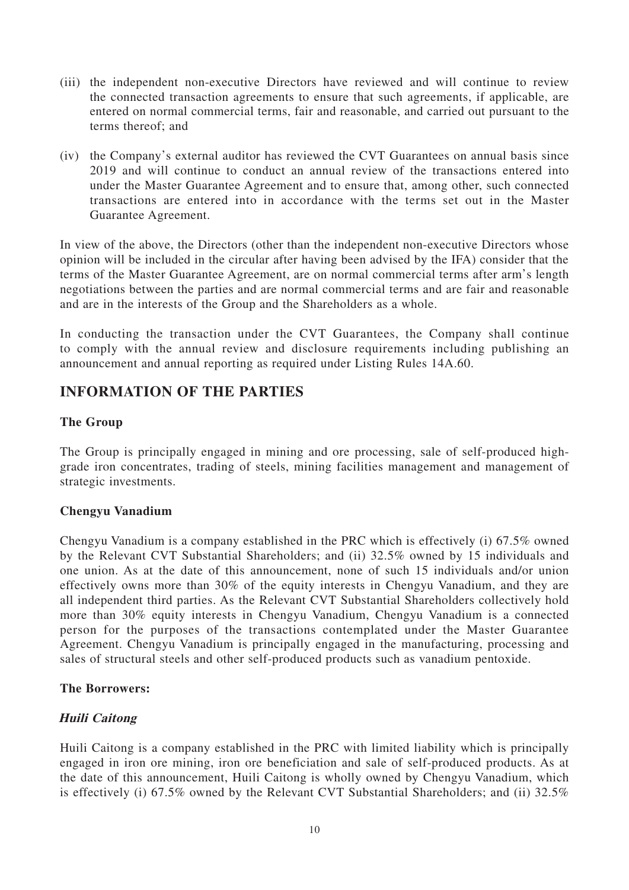- (iii) the independent non-executive Directors have reviewed and will continue to review the connected transaction agreements to ensure that such agreements, if applicable, are entered on normal commercial terms, fair and reasonable, and carried out pursuant to the terms thereof; and
- (iv) the Company's external auditor has reviewed the CVT Guarantees on annual basis since 2019 and will continue to conduct an annual review of the transactions entered into under the Master Guarantee Agreement and to ensure that, among other, such connected transactions are entered into in accordance with the terms set out in the Master Guarantee Agreement.

In view of the above, the Directors (other than the independent non-executive Directors whose opinion will be included in the circular after having been advised by the IFA) consider that the terms of the Master Guarantee Agreement, are on normal commercial terms after arm's length negotiations between the parties and are normal commercial terms and are fair and reasonable and are in the interests of the Group and the Shareholders as a whole.

In conducting the transaction under the CVT Guarantees, the Company shall continue to comply with the annual review and disclosure requirements including publishing an announcement and annual reporting as required under Listing Rules 14A.60.

## **INFORMATION OF THE PARTIES**

#### **The Group**

The Group is principally engaged in mining and ore processing, sale of self-produced highgrade iron concentrates, trading of steels, mining facilities management and management of strategic investments.

#### **Chengyu Vanadium**

Chengyu Vanadium is a company established in the PRC which is effectively (i) 67.5% owned by the Relevant CVT Substantial Shareholders; and (ii) 32.5% owned by 15 individuals and one union. As at the date of this announcement, none of such 15 individuals and/or union effectively owns more than 30% of the equity interests in Chengyu Vanadium, and they are all independent third parties. As the Relevant CVT Substantial Shareholders collectively hold more than 30% equity interests in Chengyu Vanadium, Chengyu Vanadium is a connected person for the purposes of the transactions contemplated under the Master Guarantee Agreement. Chengyu Vanadium is principally engaged in the manufacturing, processing and sales of structural steels and other self-produced products such as vanadium pentoxide.

#### **The Borrowers:**

#### **Huili Caitong**

Huili Caitong is a company established in the PRC with limited liability which is principally engaged in iron ore mining, iron ore beneficiation and sale of self-produced products. As at the date of this announcement, Huili Caitong is wholly owned by Chengyu Vanadium, which is effectively (i) 67.5% owned by the Relevant CVT Substantial Shareholders; and (ii) 32.5%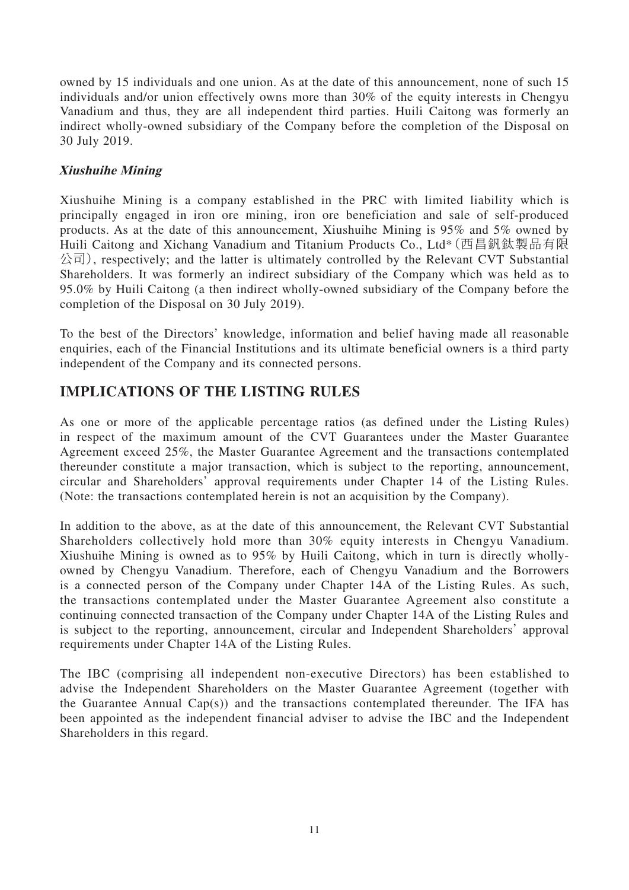owned by 15 individuals and one union. As at the date of this announcement, none of such 15 individuals and/or union effectively owns more than 30% of the equity interests in Chengyu Vanadium and thus, they are all independent third parties. Huili Caitong was formerly an indirect wholly-owned subsidiary of the Company before the completion of the Disposal on 30 July 2019.

#### **Xiushuihe Mining**

Xiushuihe Mining is a company established in the PRC with limited liability which is principally engaged in iron ore mining, iron ore beneficiation and sale of self-produced products. As at the date of this announcement, Xiushuihe Mining is 95% and 5% owned by Huili Caitong and Xichang Vanadium and Titanium Products Co., Ltd\*(西昌釩鈦製品有限 公司), respectively; and the latter is ultimately controlled by the Relevant CVT Substantial Shareholders. It was formerly an indirect subsidiary of the Company which was held as to 95.0% by Huili Caitong (a then indirect wholly-owned subsidiary of the Company before the completion of the Disposal on 30 July 2019).

To the best of the Directors' knowledge, information and belief having made all reasonable enquiries, each of the Financial Institutions and its ultimate beneficial owners is a third party independent of the Company and its connected persons.

## **IMPLICATIONS OF THE LISTING RULES**

As one or more of the applicable percentage ratios (as defined under the Listing Rules) in respect of the maximum amount of the CVT Guarantees under the Master Guarantee Agreement exceed 25%, the Master Guarantee Agreement and the transactions contemplated thereunder constitute a major transaction, which is subject to the reporting, announcement, circular and Shareholders' approval requirements under Chapter 14 of the Listing Rules. (Note: the transactions contemplated herein is not an acquisition by the Company).

In addition to the above, as at the date of this announcement, the Relevant CVT Substantial Shareholders collectively hold more than 30% equity interests in Chengyu Vanadium. Xiushuihe Mining is owned as to 95% by Huili Caitong, which in turn is directly whollyowned by Chengyu Vanadium. Therefore, each of Chengyu Vanadium and the Borrowers is a connected person of the Company under Chapter 14A of the Listing Rules. As such, the transactions contemplated under the Master Guarantee Agreement also constitute a continuing connected transaction of the Company under Chapter 14A of the Listing Rules and is subject to the reporting, announcement, circular and Independent Shareholders' approval requirements under Chapter 14A of the Listing Rules.

The IBC (comprising all independent non-executive Directors) has been established to advise the Independent Shareholders on the Master Guarantee Agreement (together with the Guarantee Annual Cap(s)) and the transactions contemplated thereunder. The IFA has been appointed as the independent financial adviser to advise the IBC and the Independent Shareholders in this regard.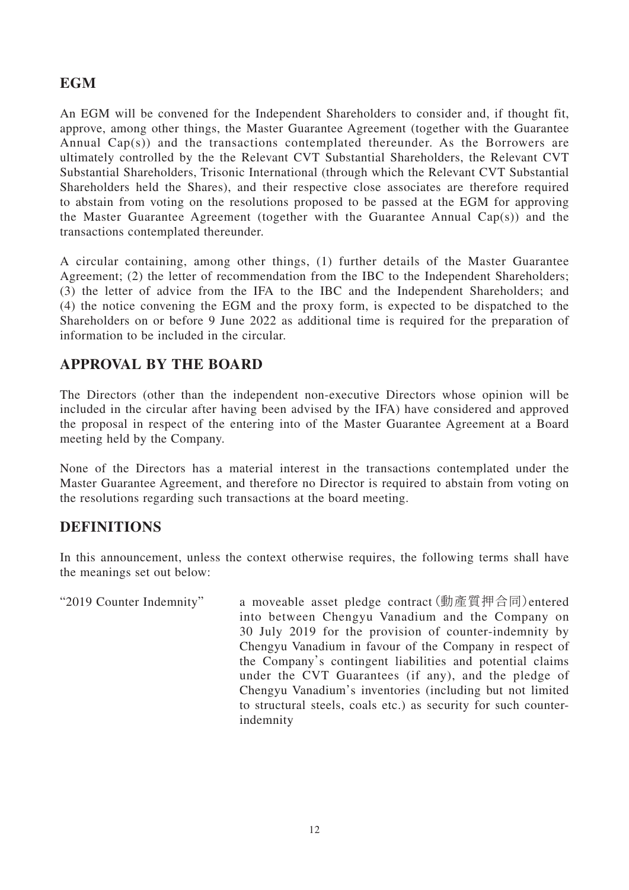## **EGM**

An EGM will be convened for the Independent Shareholders to consider and, if thought fit, approve, among other things, the Master Guarantee Agreement (together with the Guarantee Annual Cap(s)) and the transactions contemplated thereunder. As the Borrowers are ultimately controlled by the the Relevant CVT Substantial Shareholders, the Relevant CVT Substantial Shareholders, Trisonic International (through which the Relevant CVT Substantial Shareholders held the Shares), and their respective close associates are therefore required to abstain from voting on the resolutions proposed to be passed at the EGM for approving the Master Guarantee Agreement (together with the Guarantee Annual Cap(s)) and the transactions contemplated thereunder.

A circular containing, among other things, (1) further details of the Master Guarantee Agreement; (2) the letter of recommendation from the IBC to the Independent Shareholders; (3) the letter of advice from the IFA to the IBC and the Independent Shareholders; and (4) the notice convening the EGM and the proxy form, is expected to be dispatched to the Shareholders on or before 9 June 2022 as additional time is required for the preparation of information to be included in the circular.

# **APPROVAL BY THE BOARD**

The Directors (other than the independent non-executive Directors whose opinion will be included in the circular after having been advised by the IFA) have considered and approved the proposal in respect of the entering into of the Master Guarantee Agreement at a Board meeting held by the Company.

None of the Directors has a material interest in the transactions contemplated under the Master Guarantee Agreement, and therefore no Director is required to abstain from voting on the resolutions regarding such transactions at the board meeting.

### **DEFINITIONS**

In this announcement, unless the context otherwise requires, the following terms shall have the meanings set out below:

"2019 Counter Indemnity" a moveable asset pledge contract(動產質押合同)entered into between Chengyu Vanadium and the Company on 30 July 2019 for the provision of counter-indemnity by Chengyu Vanadium in favour of the Company in respect of the Company's contingent liabilities and potential claims under the CVT Guarantees (if any), and the pledge of Chengyu Vanadium's inventories (including but not limited to structural steels, coals etc.) as security for such counterindemnity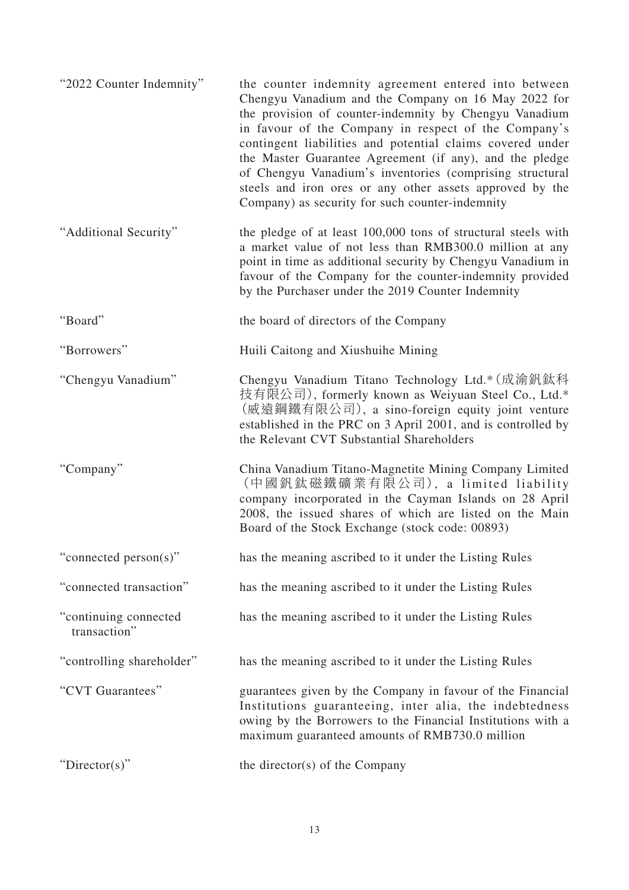| "2022 Counter Indemnity"              | the counter indemnity agreement entered into between<br>Chengyu Vanadium and the Company on 16 May 2022 for<br>the provision of counter-indemnity by Chengyu Vanadium<br>in favour of the Company in respect of the Company's<br>contingent liabilities and potential claims covered under<br>the Master Guarantee Agreement (if any), and the pledge<br>of Chengyu Vanadium's inventories (comprising structural<br>steels and iron ores or any other assets approved by the<br>Company) as security for such counter-indemnity |
|---------------------------------------|----------------------------------------------------------------------------------------------------------------------------------------------------------------------------------------------------------------------------------------------------------------------------------------------------------------------------------------------------------------------------------------------------------------------------------------------------------------------------------------------------------------------------------|
| "Additional Security"                 | the pledge of at least 100,000 tons of structural steels with<br>a market value of not less than RMB300.0 million at any<br>point in time as additional security by Chengyu Vanadium in<br>favour of the Company for the counter-indemnity provided<br>by the Purchaser under the 2019 Counter Indemnity                                                                                                                                                                                                                         |
| "Board"                               | the board of directors of the Company                                                                                                                                                                                                                                                                                                                                                                                                                                                                                            |
| "Borrowers"                           | Huili Caitong and Xiushuihe Mining                                                                                                                                                                                                                                                                                                                                                                                                                                                                                               |
| "Chengyu Vanadium"                    | Chengyu Vanadium Titano Technology Ltd.* (成渝釩鈦科<br>技有限公司), formerly known as Weiyuan Steel Co., Ltd.*<br>(威遠鋼鐵有限公司), a sino-foreign equity joint venture<br>established in the PRC on 3 April 2001, and is controlled by<br>the Relevant CVT Substantial Shareholders                                                                                                                                                                                                                                                            |
| "Company"                             | China Vanadium Titano-Magnetite Mining Company Limited<br>(中國釩鈦磁鐵礦業有限公司), a limited liability<br>company incorporated in the Cayman Islands on 28 April<br>2008, the issued shares of which are listed on the Main<br>Board of the Stock Exchange (stock code: 00893)                                                                                                                                                                                                                                                            |
| "connected person(s)"                 | has the meaning ascribed to it under the Listing Rules                                                                                                                                                                                                                                                                                                                                                                                                                                                                           |
| "connected transaction"               | has the meaning ascribed to it under the Listing Rules                                                                                                                                                                                                                                                                                                                                                                                                                                                                           |
| "continuing connected<br>transaction" | has the meaning ascribed to it under the Listing Rules                                                                                                                                                                                                                                                                                                                                                                                                                                                                           |
| "controlling shareholder"             | has the meaning ascribed to it under the Listing Rules                                                                                                                                                                                                                                                                                                                                                                                                                                                                           |
| "CVT Guarantees"                      | guarantees given by the Company in favour of the Financial<br>Institutions guaranteeing, inter alia, the indebtedness<br>owing by the Borrowers to the Financial Institutions with a<br>maximum guaranteed amounts of RMB730.0 million                                                                                                                                                                                                                                                                                           |
| "Director(s)"                         | the director(s) of the Company                                                                                                                                                                                                                                                                                                                                                                                                                                                                                                   |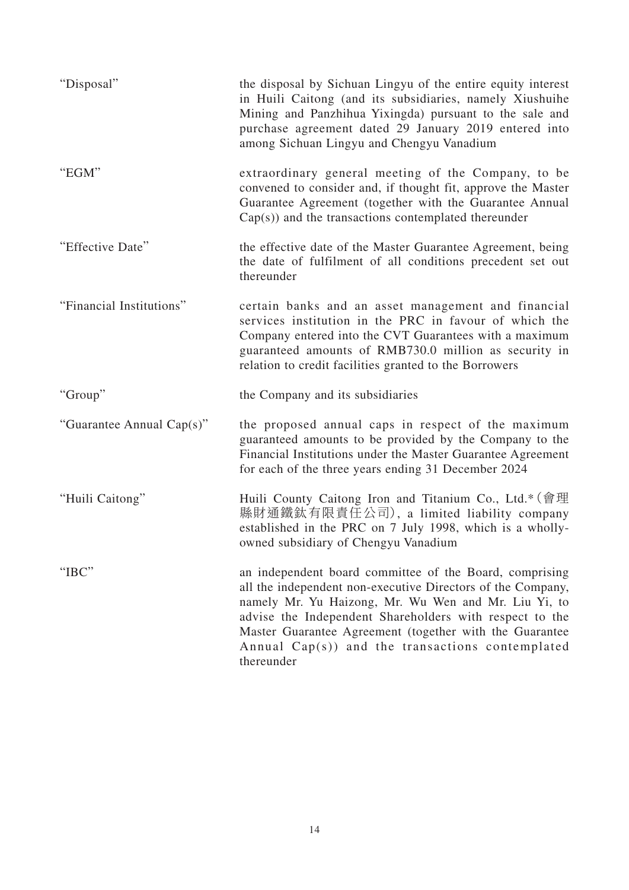| "Disposal"                | the disposal by Sichuan Lingyu of the entire equity interest<br>in Huili Caitong (and its subsidiaries, namely Xiushuihe<br>Mining and Panzhihua Yixingda) pursuant to the sale and<br>purchase agreement dated 29 January 2019 entered into<br>among Sichuan Lingyu and Chengyu Vanadium                                                                              |
|---------------------------|------------------------------------------------------------------------------------------------------------------------------------------------------------------------------------------------------------------------------------------------------------------------------------------------------------------------------------------------------------------------|
| "EGM"                     | extraordinary general meeting of the Company, to be<br>convened to consider and, if thought fit, approve the Master<br>Guarantee Agreement (together with the Guarantee Annual<br>$Cap(s)$ ) and the transactions contemplated thereunder                                                                                                                              |
| "Effective Date"          | the effective date of the Master Guarantee Agreement, being<br>the date of fulfilment of all conditions precedent set out<br>thereunder                                                                                                                                                                                                                                |
| "Financial Institutions"  | certain banks and an asset management and financial<br>services institution in the PRC in favour of which the<br>Company entered into the CVT Guarantees with a maximum<br>guaranteed amounts of RMB730.0 million as security in<br>relation to credit facilities granted to the Borrowers                                                                             |
| "Group"                   | the Company and its subsidiaries                                                                                                                                                                                                                                                                                                                                       |
| "Guarantee Annual Cap(s)" | the proposed annual caps in respect of the maximum<br>guaranteed amounts to be provided by the Company to the<br>Financial Institutions under the Master Guarantee Agreement<br>for each of the three years ending 31 December 2024                                                                                                                                    |
| "Huili Caitong"           | Huili County Caitong Iron and Titanium Co., Ltd.* (會理<br>縣財通鐵鈦有限責任公司), a limited liability company<br>established in the PRC on 7 July 1998, which is a wholly-<br>owned subsidiary of Chengyu Vanadium                                                                                                                                                                |
| "IBC"                     | an independent board committee of the Board, comprising<br>all the independent non-executive Directors of the Company,<br>namely Mr. Yu Haizong, Mr. Wu Wen and Mr. Liu Yi, to<br>advise the Independent Shareholders with respect to the<br>Master Guarantee Agreement (together with the Guarantee<br>Annual Cap(s)) and the transactions contemplated<br>thereunder |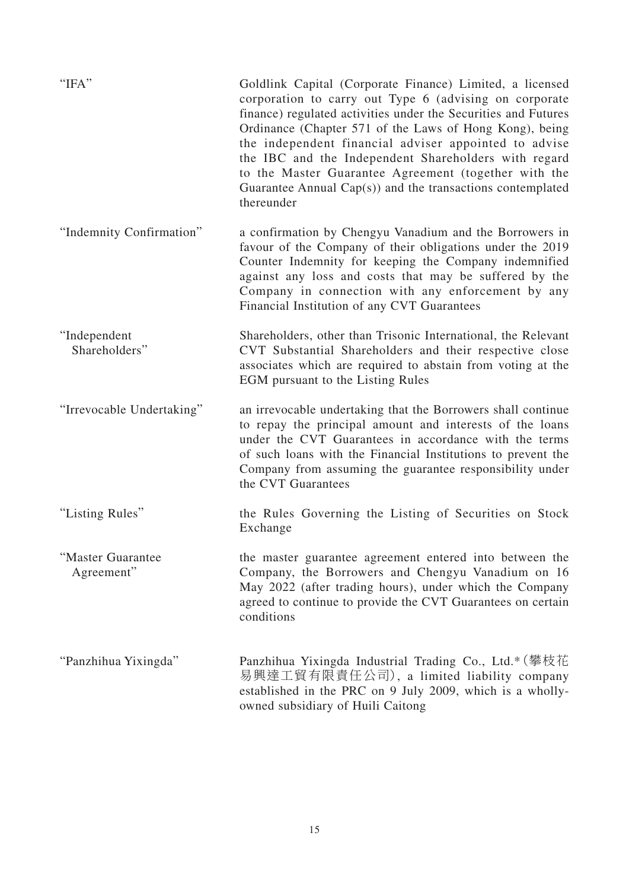| "IFA"                           | Goldlink Capital (Corporate Finance) Limited, a licensed<br>corporation to carry out Type 6 (advising on corporate<br>finance) regulated activities under the Securities and Futures<br>Ordinance (Chapter 571 of the Laws of Hong Kong), being<br>the independent financial adviser appointed to advise<br>the IBC and the Independent Shareholders with regard<br>to the Master Guarantee Agreement (together with the<br>Guarantee Annual $Cap(s)$ and the transactions contemplated<br>thereunder |
|---------------------------------|-------------------------------------------------------------------------------------------------------------------------------------------------------------------------------------------------------------------------------------------------------------------------------------------------------------------------------------------------------------------------------------------------------------------------------------------------------------------------------------------------------|
| "Indemnity Confirmation"        | a confirmation by Chengyu Vanadium and the Borrowers in<br>favour of the Company of their obligations under the 2019<br>Counter Indemnity for keeping the Company indemnified<br>against any loss and costs that may be suffered by the<br>Company in connection with any enforcement by any<br>Financial Institution of any CVT Guarantees                                                                                                                                                           |
| "Independent<br>Shareholders"   | Shareholders, other than Trisonic International, the Relevant<br>CVT Substantial Shareholders and their respective close<br>associates which are required to abstain from voting at the<br>EGM pursuant to the Listing Rules                                                                                                                                                                                                                                                                          |
| "Irrevocable Undertaking"       | an irrevocable undertaking that the Borrowers shall continue<br>to repay the principal amount and interests of the loans<br>under the CVT Guarantees in accordance with the terms<br>of such loans with the Financial Institutions to prevent the<br>Company from assuming the guarantee responsibility under<br>the CVT Guarantees                                                                                                                                                                   |
| "Listing Rules"                 | the Rules Governing the Listing of Securities on Stock<br>Exchange                                                                                                                                                                                                                                                                                                                                                                                                                                    |
| "Master Guarantee<br>Agreement" | the master guarantee agreement entered into between the<br>Company, the Borrowers and Chengyu Vanadium on 16<br>May 2022 (after trading hours), under which the Company<br>agreed to continue to provide the CVT Guarantees on certain<br>conditions                                                                                                                                                                                                                                                  |
| "Panzhihua Yixingda"            | Panzhihua Yixingda Industrial Trading Co., Ltd.* (攀枝花<br>易興達工貿有限責任公司), a limited liability company<br>established in the PRC on 9 July 2009, which is a wholly-<br>owned subsidiary of Huili Caitong                                                                                                                                                                                                                                                                                                  |